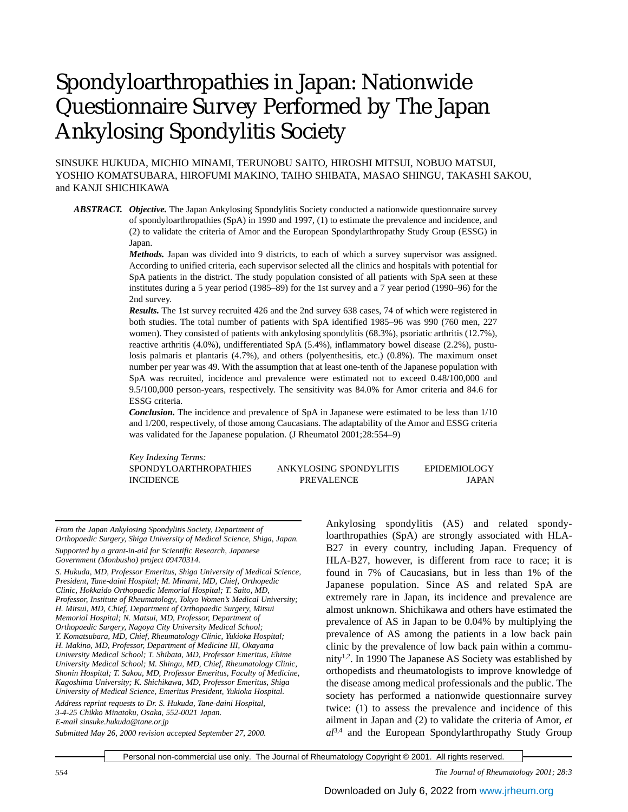# Spondyloarthropathies in Japan: Nationwide Questionnaire Survey Performed by The Japan Ankylosing Spondylitis Society

SINSUKE HUKUDA, MICHIO MINAMI, TERUNOBU SAITO, HIROSHI MITSUI, NOBUO MATSUI, YOSHIO KOMATSUBARA, HIROFUMI MAKINO, TAIHO SHIBATA, MASAO SHINGU, TAKASHI SAKOU, and KANJI SHICHIKAWA

*ABSTRACT. Objective.* The Japan Ankylosing Spondylitis Society conducted a nationwide questionnaire survey of spondyloarthropathies (SpA) in 1990 and 1997, (1) to estimate the prevalence and incidence, and (2) to validate the criteria of Amor and the European Spondylarthropathy Study Group (ESSG) in Japan.

> *Methods.* Japan was divided into 9 districts, to each of which a survey supervisor was assigned. According to unified criteria, each supervisor selected all the clinics and hospitals with potential for SpA patients in the district. The study population consisted of all patients with SpA seen at these institutes during a 5 year period (1985–89) for the 1st survey and a 7 year period (1990–96) for the 2nd survey.

> *Results.* The 1st survey recruited 426 and the 2nd survey 638 cases, 74 of which were registered in both studies. The total number of patients with SpA identified 1985–96 was 990 (760 men, 227 women). They consisted of patients with ankylosing spondylitis (68.3%), psoriatic arthritis (12.7%), reactive arthritis (4.0%), undifferentiated SpA (5.4%), inflammatory bowel disease (2.2%), pustulosis palmaris et plantaris (4.7%), and others (polyenthesitis, etc.) (0.8%). The maximum onset number per year was 49. With the assumption that at least one-tenth of the Japanese population with SpA was recruited, incidence and prevalence were estimated not to exceed 0.48/100,000 and 9.5/100,000 person-years, respectively. The sensitivity was 84.0% for Amor criteria and 84.6 for ESSG criteria.

> *Conclusion.* The incidence and prevalence of SpA in Japanese were estimated to be less than 1/10 and 1/200, respectively, of those among Caucasians. The adaptability of the Amor and ESSG criteria was validated for the Japanese population. (J Rheumatol 2001;28:554–9)

*Key Indexing Terms:* SPONDYLOARTHROPATHIES ANKYLOSING SPONDYLITIS EPIDEMIOLOGY INCIDENCE PREVALENCE JAPAN

*From the Japan Ankylosing Spondylitis Society, Department of Orthopaedic Surgery, Shiga University of Medical Science, Shiga, Japan. Supported by a grant-in-aid for Scientific Research, Japanese Government (Monbusho) project 09470314.*

*S. Hukuda, MD, Professor Emeritus, Shiga University of Medical Science, President, Tane-daini Hospital; M. Minami, MD, Chief, Orthopedic Clinic, Hokkaido Orthopaedic Memorial Hospital; T. Saito, MD, Professor, Institute of Rheumatology, Tokyo Women's Medical University; H. Mitsui, MD, Chief, Department of Orthopaedic Surgery, Mitsui Memorial Hospital; N. Matsui, MD, Professor, Department of Orthopaedic Surgery, Nagoya City University Medical School; Y. Komatsubara, MD, Chief, Rheumatology Clinic, Yukioka Hospital; H. Makino, MD, Professor, Department of Medicine III, Okayama University Medical School; T. Shibata, MD, Professor Emeritus, Ehime University Medical School; M. Shingu, MD, Chief, Rheumatology Clinic, Shonin Hospital; T. Sakou, MD, Professor Emeritus, Faculty of Medicine, Kagoshima University; K. Shichikawa, MD, Professor Emeritus, Shiga University of Medical Science, Emeritus President, Yukioka Hospital. Address reprint requests to Dr. S. Hukuda, Tane-daini Hospital, 3-4-25 Chikko Minatoku, Osaka, 552-0021 Japan. E-mail sinsuke.hukuda@tane.or.jp*

*Submitted May 26, 2000 revision accepted September 27, 2000.*

Ankylosing spondylitis (AS) and related spondyloarthropathies (SpA) are strongly associated with HLA-B27 in every country, including Japan. Frequency of HLA-B27, however, is different from race to race; it is found in 7% of Caucasians, but in less than 1% of the Japanese population. Since AS and related SpA are extremely rare in Japan, its incidence and prevalence are almost unknown. Shichikawa and others have estimated the prevalence of AS in Japan to be 0.04% by multiplying the prevalence of AS among the patients in a low back pain clinic by the prevalence of low back pain within a community<sup>1,2</sup>. In 1990 The Japanese AS Society was established by orthopedists and rheumatologists to improve knowledge of the disease among medical professionals and the public. The society has performed a nationwide questionnaire survey twice: (1) to assess the prevalence and incidence of this ailment in Japan and (2) to validate the criteria of Amor, *et al*3,4 and the European Spondylarthropathy Study Group

Personal non-commercial use only. The Journal of Rheumatology Copyright © 2001. All rights reserved.

*554 The Journal of Rheumatology 2001; 28:3*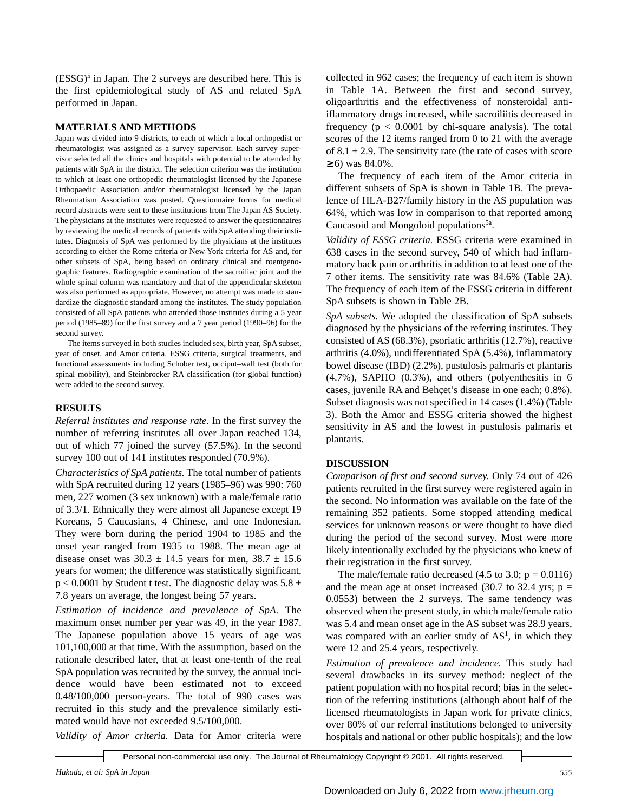$(ESSG)$ <sup>5</sup> in Japan. The 2 surveys are described here. This is the first epidemiological study of AS and related SpA performed in Japan.

## **MATERIALS AND METHODS**

Japan was divided into 9 districts, to each of which a local orthopedist or rheumatologist was assigned as a survey supervisor. Each survey supervisor selected all the clinics and hospitals with potential to be attended by patients with SpA in the district. The selection criterion was the institution to which at least one orthopedic rheumatologist licensed by the Japanese Orthopaedic Association and/or rheumatologist licensed by the Japan Rheumatism Association was posted. Questionnaire forms for medical record abstracts were sent to these institutions from The Japan AS Society. The physicians at the institutes were requested to answer the questionnaires by reviewing the medical records of patients with SpA attending their institutes. Diagnosis of SpA was performed by the physicians at the institutes according to either the Rome criteria or New York criteria for AS and, for other subsets of SpA, being based on ordinary clinical and roentgenographic features. Radiographic examination of the sacroiliac joint and the whole spinal column was mandatory and that of the appendicular skeleton was also performed as appropriate. However, no attempt was made to standardize the diagnostic standard among the institutes. The study population consisted of all SpA patients who attended those institutes during a 5 year period (1985–89) for the first survey and a 7 year period (1990–96) for the second survey.

The items surveyed in both studies included sex, birth year, SpA subset, year of onset, and Amor criteria. ESSG criteria, surgical treatments, and functional assessments including Schober test, occiput–wall test (both for spinal mobility), and Steinbrocker RA classification (for global function) were added to the second survey.

# **RESULTS**

*Referral institutes and response rate.* In the first survey the number of referring institutes all over Japan reached 134, out of which 77 joined the survey (57.5%). In the second survey 100 out of 141 institutes responded (70.9%).

*Characteristics of SpA patients.* The total number of patients with SpA recruited during 12 years (1985–96) was 990: 760 men, 227 women (3 sex unknown) with a male/female ratio of 3.3/1. Ethnically they were almost all Japanese except 19 Koreans, 5 Caucasians, 4 Chinese, and one Indonesian. They were born during the period 1904 to 1985 and the onset year ranged from 1935 to 1988. The mean age at disease onset was  $30.3 \pm 14.5$  years for men,  $38.7 \pm 15.6$ years for women; the difference was statistically significant,  $p < 0.0001$  by Student t test. The diagnostic delay was  $5.8 \pm 1.0001$ 7.8 years on average, the longest being 57 years.

*Estimation of incidence and prevalence of SpA.* The maximum onset number per year was 49, in the year 1987. The Japanese population above 15 years of age was 101,100,000 at that time. With the assumption, based on the rationale described later, that at least one-tenth of the real SpA population was recruited by the survey, the annual incidence would have been estimated not to exceed 0.48/100,000 person-years. The total of 990 cases was recruited in this study and the prevalence similarly estimated would have not exceeded 9.5/100,000.

*Validity of Amor criteria.* Data for Amor criteria were

collected in 962 cases; the frequency of each item is shown in Table 1A. Between the first and second survey, oligoarthritis and the effectiveness of nonsteroidal antiiflammatory drugs increased, while sacroiliitis decreased in frequency ( $p < 0.0001$  by chi-square analysis). The total scores of the 12 items ranged from 0 to 21 with the average of  $8.1 \pm 2.9$ . The sensitivity rate (the rate of cases with score  $≥ 6$ ) was 84.0%.

The frequency of each item of the Amor criteria in different subsets of SpA is shown in Table 1B. The prevalence of HLA-B27/family history in the AS population was 64%, which was low in comparison to that reported among Caucasoid and Mongoloid populations<sup>5a</sup>.

*Validity of ESSG criteria.* ESSG criteria were examined in 638 cases in the second survey, 540 of which had inflammatory back pain or arthritis in addition to at least one of the 7 other items. The sensitivity rate was 84.6% (Table 2A). The frequency of each item of the ESSG criteria in different SpA subsets is shown in Table 2B.

*SpA subsets.* We adopted the classification of SpA subsets diagnosed by the physicians of the referring institutes. They consisted of AS (68.3%), psoriatic arthritis (12.7%), reactive arthritis (4.0%), undifferentiated SpA (5.4%), inflammatory bowel disease (IBD) (2.2%), pustulosis palmaris et plantaris (4.7%), SAPHO (0.3%), and others (polyenthesitis in 6 cases, juvenile RA and Behçet's disease in one each; 0.8%). Subset diagnosis was not specified in 14 cases (1.4%) (Table 3). Both the Amor and ESSG criteria showed the highest sensitivity in AS and the lowest in pustulosis palmaris et plantaris.

#### **DISCUSSION**

*Comparison of first and second survey.* Only 74 out of 426 patients recruited in the first survey were registered again in the second. No information was available on the fate of the remaining 352 patients. Some stopped attending medical services for unknown reasons or were thought to have died during the period of the second survey. Most were more likely intentionally excluded by the physicians who knew of their registration in the first survey.

The male/female ratio decreased (4.5 to 3.0;  $p = 0.0116$ ) and the mean age at onset increased (30.7 to 32.4 yrs;  $p =$ 0.0553) between the 2 surveys. The same tendency was observed when the present study, in which male/female ratio was 5.4 and mean onset age in the AS subset was 28.9 years, was compared with an earlier study of  $AS<sup>1</sup>$ , in which they were 12 and 25.4 years, respectively.

*Estimation of prevalence and incidence.* This study had several drawbacks in its survey method: neglect of the patient population with no hospital record; bias in the selection of the referring institutions (although about half of the licensed rheumatologists in Japan work for private clinics, over 80% of our referral institutions belonged to university hospitals and national or other public hospitals); and the low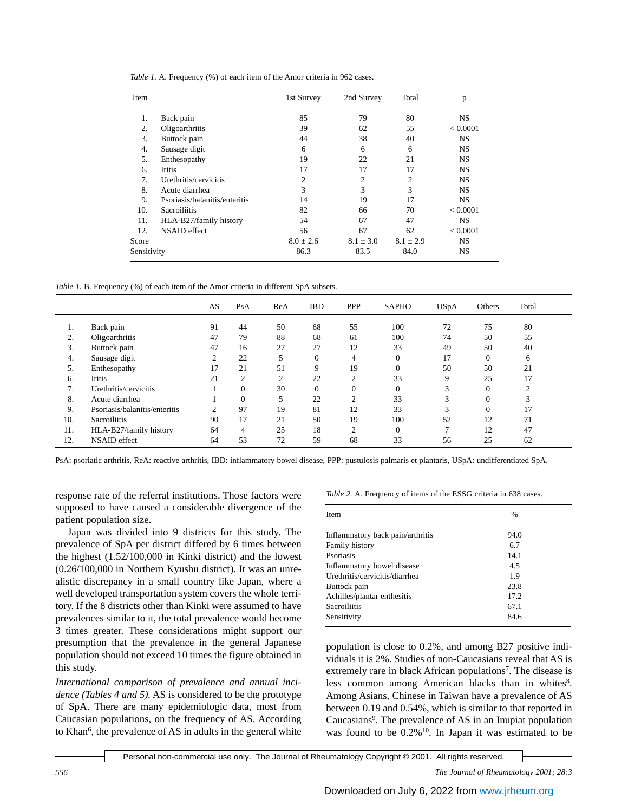|  | Table 1. A. Frequency (%) of each item of the Amor criteria in 962 cases. |  |  |  |  |
|--|---------------------------------------------------------------------------|--|--|--|--|
|--|---------------------------------------------------------------------------|--|--|--|--|

| Item        |                               | 1st Survey    | 2nd Survey     | Total         | p         |
|-------------|-------------------------------|---------------|----------------|---------------|-----------|
| 1.          | Back pain                     | 85            | 79             | 80            | <b>NS</b> |
| 2.          | Oligoarthritis                | 39            | 62             | 55            | < 0.0001  |
| 3.          | Buttock pain                  | 44            | 38             | 40            | <b>NS</b> |
| 4.          | Sausage digit                 | 6             | 6              | 6             | <b>NS</b> |
| 5.          | Enthesopathy                  | 19            | 22             | 21            | <b>NS</b> |
| 6.          | Iritis                        | 17            | 17             | 17            | <b>NS</b> |
| 7.          | Urethritis/cervicitis         | 2             | $\overline{2}$ | 2             | <b>NS</b> |
| 8.          | Acute diarrhea                | 3             | 3              | 3             | <b>NS</b> |
| 9.          | Psoriasis/balanitis/enteritis | 14            | 19             | 17            | <b>NS</b> |
| 10.         | <b>Sacroiliitis</b>           | 82            | 66             | 70            | < 0.0001  |
| 11.         | HLA-B27/family history        | 54            | 67             | 47            | <b>NS</b> |
| 12.         | <b>NSAID</b> effect           | 56            | 67             | 62            | < 0.0001  |
| Score       |                               | $8.0 \pm 2.6$ | $8.1 \pm 3.0$  | $8.1 \pm 2.9$ | NS.       |
| Sensitivity |                               | 86.3          | 83.5           | 84.0          | <b>NS</b> |

*Table 1.* B. Frequency (%) of each item of the Amor criteria in different SpA subsets.

|     |                               | AS | PsA            | ReA            | <b>IBD</b> | <b>PPP</b>     | <b>SAPHO</b> | <b>USpA</b>   | Others   | Total  |
|-----|-------------------------------|----|----------------|----------------|------------|----------------|--------------|---------------|----------|--------|
| 1.  | Back pain                     | 91 | 44             | 50             | 68         | 55             | 100          | 72            | 75       | 80     |
| 2.  | Oligoarthritis                | 47 | 79             | 88             | 68         | 61             | 100          | 74            | 50       | 55     |
| 3.  | Buttock pain                  | 47 | 16             | 27             | 27         | 12             | 33           | 49            | 50       | 40     |
| 4.  | Sausage digit                 | 2  | 22             | 5              | $\theta$   | $\overline{4}$ | $\Omega$     | 17            | $\Omega$ | 6      |
| 5.  | Enthesopathy                  | 17 | 21             | 51             | 9          | 19             | $\Omega$     | 50            | 50       | 21     |
| 6.  | <b>Iritis</b>                 | 21 | $\overline{c}$ | $\overline{c}$ | 22         | $\overline{c}$ | 33           | 9             | 25       | 17     |
| 7.  | Urethritis/cervicitis         |    | $\Omega$       | 30             | $\Omega$   | 0              | $\Omega$     | 3             | $\Omega$ | $\sim$ |
| 8.  | Acute diarrhea                |    | $\Omega$       | 5              | 22         | $\mathcal{L}$  | 33           | 3             | $\Omega$ | 3      |
| 9.  | Psoriasis/balanitis/enteritis | 2  | 97             | 19             | 81         | 12             | 33           | 3             | $\Omega$ | 17     |
| 10. | <b>Sacroiliitis</b>           | 90 | 17             | 21             | 50         | 19             | 100          | 52            | 12       | 71     |
| 11. | HLA-B27/family history        | 64 | $\overline{4}$ | 25             | 18         | 2              | $\Omega$     | $\mathcal{L}$ | 12       | 47     |
| 12. | <b>NSAID</b> effect           | 64 | 53             | 72             | 59         | 68             | 33           | 56            | 25       | 62     |

PsA: psoriatic arthritis, ReA: reactive arthritis, IBD: inflammatory bowel disease, PPP: pustulosis palmaris et plantaris, USpA: undifferentiated SpA.

response rate of the referral institutions. Those factors were supposed to have caused a considerable divergence of the patient population size.

Japan was divided into 9 districts for this study. The prevalence of SpA per district differed by 6 times between the highest (1.52/100,000 in Kinki district) and the lowest (0.26/100,000 in Northern Kyushu district). It was an unrealistic discrepancy in a small country like Japan, where a well developed transportation system covers the whole territory. If the 8 districts other than Kinki were assumed to have prevalences similar to it, the total prevalence would become 3 times greater. These considerations might support our presumption that the prevalence in the general Japanese population should not exceed 10 times the figure obtained in this study.

*International comparison of prevalence and annual incidence (Tables 4 and 5).* AS is considered to be the prototype of SpA. There are many epidemiologic data, most from Caucasian populations, on the frequency of AS. According to Khan<sup>6</sup>, the prevalence of AS in adults in the general white

*Table 2.* A. Frequency of items of the ESSG criteria in 638 cases.

| <b>Item</b>                      | $\frac{0}{0}$ |  |
|----------------------------------|---------------|--|
| Inflammatory back pain/arthritis | 94.0          |  |
| <b>Family history</b>            | 6.7           |  |
| Psoriasis                        | 14.1          |  |
| Inflammatory bowel disease       | 4.5           |  |
| Urethritis/cervicitis/diarrhea   | 1.9           |  |
| Buttock pain                     | 23.8          |  |
| Achilles/plantar enthesitis      | 17.2.         |  |
| <b>Sacroiliitis</b>              | 67.1          |  |
| Sensitivity                      | 84.6          |  |

population is close to 0.2%, and among B27 positive individuals it is 2%. Studies of non-Caucasians reveal that AS is extremely rare in black African populations<sup>7</sup>. The disease is less common among American blacks than in whites<sup>8</sup>. Among Asians, Chinese in Taiwan have a prevalence of AS between 0.19 and 0.54%, which is similar to that reported in Caucasians<sup>9</sup>. The prevalence of AS in an Inupiat population was found to be  $0.2\%$ <sup>10</sup>. In Japan it was estimated to be

Personal non-commercial use only. The Journal of Rheumatology Copyright © 2001. All rights reserved.

*556 The Journal of Rheumatology 2001; 28:3*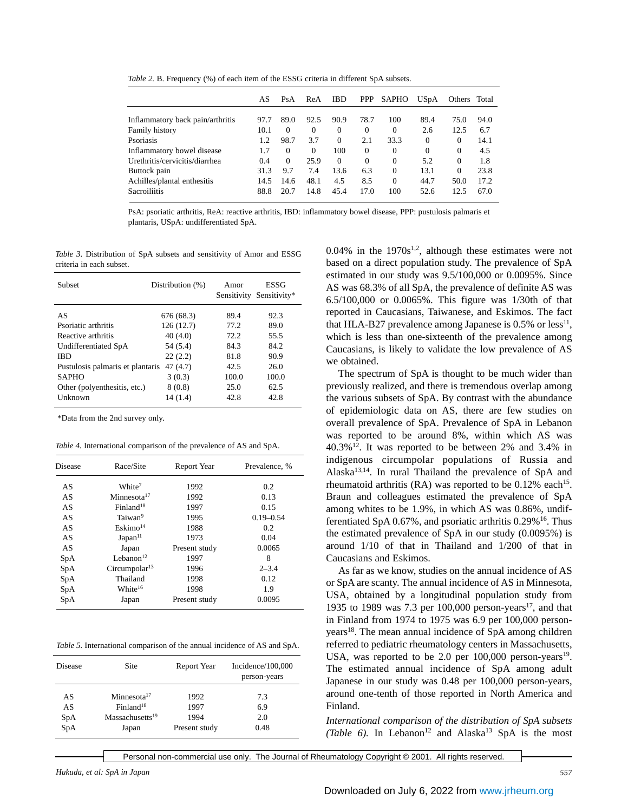*Table 2. B.* Frequency (%) of each item of the ESSG criteria in different SpA subsets.

|                                  | AS   | PsA      | ReA      | <b>IBD</b> | <b>PPP</b> | SAPHO    | <b>USpA</b> | Others   | Total |
|----------------------------------|------|----------|----------|------------|------------|----------|-------------|----------|-------|
|                                  |      |          |          |            |            |          |             |          |       |
| Inflammatory back pain/arthritis | 97.7 | 89.0     | 92.5     | 90.9       | 78.7       | 100      | 89.4        | 75.0     | 94.0  |
| Family history                   | 10.1 | $\Omega$ | $\Omega$ | $\Omega$   | $\Omega$   | $\Omega$ | 2.6         | 12.5     | 6.7   |
| Psoriasis                        | 1.2  | 98.7     | 3.7      | $\Omega$   | 2.1        | 33.3     | $\Omega$    | $\Omega$ | 14.1  |
| Inflammatory bowel disease       | 1.7  | $\Omega$ | $\Omega$ | 100        | $\Omega$   | $\Omega$ | $\Omega$    | $\Omega$ | 4.5   |
| Urethritis/cervicitis/diarrhea   | 0.4  | $\Omega$ | 25.9     | $\Omega$   | $\Omega$   | $\Omega$ | 5.2         | $\Omega$ | 1.8   |
| Buttock pain                     | 31.3 | 9.7      | 7.4      | 13.6       | 6.3        | $\Omega$ | 13.1        | $\Omega$ | 23.8  |
| Achilles/plantal enthesitis      | 14.5 | 14.6     | 48.1     | 4.5        | 8.5        | $\Omega$ | 44.7        | 50.0     | 17.2  |
| <b>Sacroiliitis</b>              | 88.8 | 20.7     | 14.8     | 45.4       | 17.0       | 100      | 52.6        | 12.5     | 67.0  |

PsA: psoriatic arthritis, ReA: reactive arthritis, IBD: inflammatory bowel disease, PPP: pustulosis palmaris et plantaris, USpA: undifferentiated SpA.

*Table 3.* Distribution of SpA subsets and sensitivity of Amor and ESSG criteria in each subset.

| Subset                           | Distribution (%) | Amor<br>Sensitivity | <b>ESSG</b><br>Sensitivity* |
|----------------------------------|------------------|---------------------|-----------------------------|
| AS                               | 676 (68.3)       | 89.4                | 92.3                        |
| Psoriatic arthritis              | 126 (12.7)       | 77.2                | 89.0                        |
| Reactive arthritis               | 40(4.0)          | 72.2                | 55.5                        |
| Undifferentiated SpA             | 54 (5.4)         | 84.3                | 84.2                        |
| IBD                              | 22(2.2)          | 81.8                | 90.9                        |
| Pustulosis palmaris et plantaris | 47(4.7)          | 42.5                | 26.0                        |
| <b>SAPHO</b>                     | 3(0.3)           | 100.0               | 100.0                       |
| Other (polyenthesitis, etc.)     | 8(0.8)           | 25.0                | 62.5                        |
| Unknown                          | 14 (1.4)         | 42.8                | 42.8                        |

\*Data from the 2nd survey only.

*Table 4.* International comparison of the prevalence of AS and SpA.

| Disease    | Race/Site                 | Report Year   | Prevalence, % |
|------------|---------------------------|---------------|---------------|
| AS         | White <sup>7</sup>        | 1992          | 0.2           |
| AS         | Minnesota <sup>17</sup>   | 1992          | 0.13          |
| AS         | Finland <sup>18</sup>     | 1997          | 0.15          |
| AS         | Taiwan <sup>9</sup>       | 1995          | $0.19 - 0.54$ |
| AS         | $E$ skimo $^{14}$         | 1988          | 0.2           |
| AS         | Japan <sup>11</sup>       | 1973          | 0.04          |
| AS         | Japan                     | Present study | 0.0065        |
| SpA        | Lebanon $12$              | 1997          | 8             |
| SpA        | Circumpolar <sup>13</sup> | 1996          | $2 - 3.4$     |
| <b>SpA</b> | Thailand                  | 1998          | 0.12          |
| SpA        | White <sup>16</sup>       | 1998          | 1.9           |
| SpA        | Japan                     | Present study | 0.0095        |

*Table 5.* International comparison of the annual incidence of AS and SpA.

| Disease | Site                        | Report Year   | Incidence/100,000<br>person-years |
|---------|-----------------------------|---------------|-----------------------------------|
| AS      | Minnesota <sup>17</sup>     | 1992          | 7.3                               |
| AS      | Finland <sup>18</sup>       | 1997          | 6.9                               |
| SpA     | Massachusetts <sup>19</sup> | 1994          | 2.0                               |
| SpA     | Japan                       | Present study | 0.48                              |

0.04% in the  $1970s^{1,2}$ , although these estimates were not based on a direct population study. The prevalence of SpA estimated in our study was 9.5/100,000 or 0.0095%. Since AS was 68.3% of all SpA, the prevalence of definite AS was 6.5/100,000 or 0.0065%. This figure was 1/30th of that reported in Caucasians, Taiwanese, and Eskimos. The fact that HLA-B27 prevalence among Japanese is  $0.5\%$  or less<sup>11</sup>, which is less than one-sixteenth of the prevalence among Caucasians, is likely to validate the low prevalence of AS we obtained.

The spectrum of SpA is thought to be much wider than previously realized, and there is tremendous overlap among the various subsets of SpA. By contrast with the abundance of epidemiologic data on AS, there are few studies on overall prevalence of SpA. Prevalence of SpA in Lebanon was reported to be around 8%, within which AS was  $40.3\%$ <sup>12</sup>. It was reported to be between 2% and 3.4% in indigenous circumpolar populations of Russia and Alaska13,14. In rural Thailand the prevalence of SpA and rheumatoid arthritis (RA) was reported to be  $0.12\%$  each<sup>15</sup>. Braun and colleagues estimated the prevalence of SpA among whites to be 1.9%, in which AS was 0.86%, undifferentiated SpA  $0.67\%$ , and psoriatic arthritis  $0.29\%$ <sup>16</sup>. Thus the estimated prevalence of SpA in our study (0.0095%) is around 1/10 of that in Thailand and 1/200 of that in Caucasians and Eskimos.

As far as we know, studies on the annual incidence of AS or SpA are scanty. The annual incidence of AS in Minnesota, USA, obtained by a longitudinal population study from 1935 to 1989 was 7.3 per  $100,000$  person-years<sup>17</sup>, and that in Finland from 1974 to 1975 was 6.9 per 100,000 personyears<sup>18</sup>. The mean annual incidence of SpA among children referred to pediatric rheumatology centers in Massachusetts, USA, was reported to be 2.0 per  $100,000$  person-years<sup>19</sup>. The estimated annual incidence of SpA among adult Japanese in our study was 0.48 per 100,000 person-years, around one-tenth of those reported in North America and Finland.

*International comparison of the distribution of SpA subsets*  $(Table 6)$ . In Lebanon<sup>12</sup> and Alaska<sup>13</sup> SpA is the most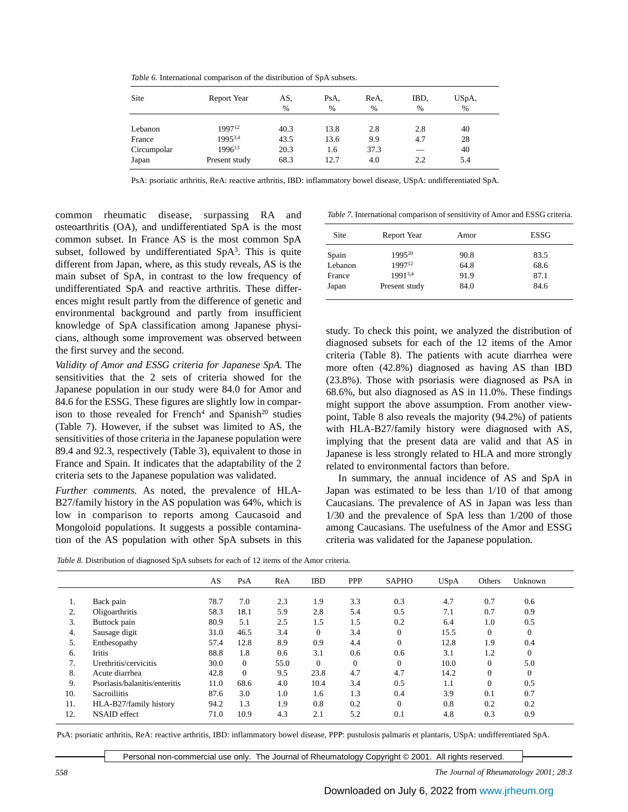| Site        | Report Year        | AS.<br>$\frac{0}{0}$ | PsA.<br>$\frac{0}{0}$ | ReA,<br>$\%$ | IBD.<br>$\frac{0}{0}$ | USpA,<br>$\%$ |
|-------------|--------------------|----------------------|-----------------------|--------------|-----------------------|---------------|
| Lebanon     | 1997 <sup>12</sup> | 40.3                 | 13.8                  | 2.8          | 2.8                   | 40            |
| France      | 19953,4            | 43.5                 | 13.6                  | 9.9          | 4.7                   | 28            |
| Circumpolar | 1996 <sup>13</sup> | 20.3                 | 1.6                   | 37.3         |                       | 40            |
| Japan       | Present study      | 68.3                 | 12.7                  | 4.0          | 2.2                   | 5.4           |

*Table 6.* International comparison of the distribution of SpA subsets.

PsA: psoriatic arthritis, ReA: reactive arthritis, IBD: inflammatory bowel disease, USpA: undifferentiated SpA.

common rheumatic disease, surpassing RA and osteoarthritis (OA), and undifferentiated SpA is the most common subset. In France AS is the most common SpA subset, followed by undifferentiated  $SpA<sup>3</sup>$ . This is quite different from Japan, where, as this study reveals, AS is the main subset of SpA, in contrast to the low frequency of undifferentiated SpA and reactive arthritis. These differences might result partly from the difference of genetic and environmental background and partly from insufficient knowledge of SpA classification among Japanese physicians, although some improvement was observed between the first survey and the second.

*Validity of Amor and ESSG criteria for Japanese SpA.* The sensitivities that the 2 sets of criteria showed for the Japanese population in our study were 84.0 for Amor and 84.6 for the ESSG. These figures are slightly low in comparison to those revealed for French<sup>4</sup> and Spanish<sup>20</sup> studies (Table 7). However, if the subset was limited to AS, the sensitivities of those criteria in the Japanese population were 89.4 and 92.3, respectively (Table 3), equivalent to those in France and Spain. It indicates that the adaptability of the 2 criteria sets to the Japanese population was validated.

*Further comments.* As noted, the prevalence of HLA-B27/family history in the AS population was 64%, which is low in comparison to reports among Caucasoid and Mongoloid populations. It suggests a possible contamination of the AS population with other SpA subsets in this

*Table 7.* International comparison of sensitivity of Amor and ESSG criteria.

| Site    | Report Year        | Amor | ESSG |
|---------|--------------------|------|------|
| Spain   | 1995 <sup>20</sup> | 90.8 | 83.5 |
| Lebanon | 199712             | 64.8 | 68.6 |
| France  | 19913,4            | 91.9 | 87.1 |
| Japan   | Present study      | 84.0 | 84.6 |

study. To check this point, we analyzed the distribution of diagnosed subsets for each of the 12 items of the Amor criteria (Table 8). The patients with acute diarrhea were more often (42.8%) diagnosed as having AS than IBD (23.8%). Those with psoriasis were diagnosed as PsA in 68.6%, but also diagnosed as AS in 11.0%. These findings might support the above assumption. From another viewpoint, Table 8 also reveals the majority (94.2%) of patients with HLA-B27/family history were diagnosed with AS, implying that the present data are valid and that AS in Japanese is less strongly related to HLA and more strongly related to environmental factors than before.

In summary, the annual incidence of AS and SpA in Japan was estimated to be less than 1/10 of that among Caucasians. The prevalence of AS in Japan was less than 1/30 and the prevalence of SpA less than 1/200 of those among Caucasians. The usefulness of the Amor and ESSG criteria was validated for the Japanese population.

*Table 8.* Distribution of diagnosed SpA subsets for each of 12 items of the Amor criteria.

|     |                               | AS   | PsA      | ReA  | <b>IBD</b>   | <b>PPP</b> | <b>SAPHO</b> | <b>USpA</b> | Others   | Unknown      |  |
|-----|-------------------------------|------|----------|------|--------------|------------|--------------|-------------|----------|--------------|--|
|     |                               |      |          |      |              |            |              |             |          |              |  |
| 1.  | Back pain                     | 78.7 | 7.0      | 2.3  | 1.9          | 3.3        | 0.3          | 4.7         | 0.7      | 0.6          |  |
| 2.  | Oligoarthritis                | 58.3 | 18.1     | 5.9  | 2.8          | 5.4        | 0.5          | 7.1         | 0.7      | 0.9          |  |
| 3.  | Buttock pain                  | 80.9 | 5.1      | 2.5  | 1.5          | 1.5        | 0.2          | 6.4         | 1.0      | 0.5          |  |
| 4.  | Sausage digit                 | 31.0 | 46.5     | 3.4  | $\mathbf{0}$ | 3.4        | $\mathbf{0}$ | 15.5        | $\theta$ | $\mathbf{0}$ |  |
| 5.  | Enthesopathy                  | 57.4 | 12.8     | 8.9  | 0.9          | 4.4        | $\Omega$     | 12.8        | 1.9      | 0.4          |  |
| 6.  | <b>Iritis</b>                 | 88.8 | 1.8      | 0.6  | 3.1          | 0.6        | 0.6          | 3.1         | 1.2      | $\Omega$     |  |
| 7.  | Urethritis/cervicitis         | 30.0 | $\Omega$ | 55.0 | $\Omega$     | $\Omega$   | $\Omega$     | 10.0        | $\Omega$ | 5.0          |  |
| 8.  | Acute diarrhea                | 42.8 | $\Omega$ | 9.5  | 23.8         | 4.7        | 4.7          | 14.2        | $\theta$ | $\Omega$     |  |
| 9.  | Psoriasis/balanitis/enteritis | 11.0 | 68.6     | 4.0  | 10.4         | 3.4        | 0.5          | 1.1         | $\Omega$ | 0.5          |  |
| 10. | <b>Sacroiliitis</b>           | 87.6 | 3.0      | 1.0  | 1.6          | 1.3        | 0.4          | 3.9         | 0.1      | 0.7          |  |
| 11. | HLA-B27/family history        | 94.2 | 1.3      | 1.9  | 0.8          | 0.2        | $\Omega$     | 0.8         | 0.2      | 0.2          |  |
| 12. | <b>NSAID</b> effect           | 71.0 | 10.9     | 4.3  | 2.1          | 5.2        | 0.1          | 4.8         | 0.3      | 0.9          |  |

PsA: psoriatic arthritis, ReA: reactive arthritis, IBD: inflammatory bowel disease, PPP: pustulosis palmaris et plantaris, USpA: undifferentiated SpA.